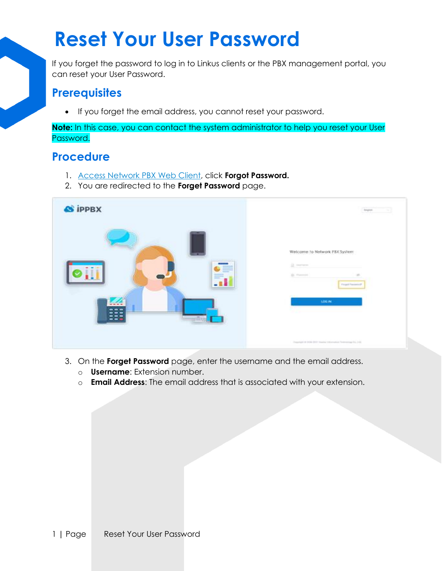## **Reset Your User Password**

If you forget the password to log in to Linkus clients or the PBX management portal, you can reset your User Password.

## **Prerequisites**

• If you forget the email address, you cannot reset your password.

**Note:** In this case, you can contact the system administrator to help you reset your User Password.

## **Procedure**

- 1. [Access Network PBX Web Client,](https://help.yeastar.com/en/p-series-cloud-edition/web-client-user-guide/log-in-to-linkus-web-client.html#log-in-to-web-client__login-linkus-web) click **Forgot Password.**
- 2. You are redirected to the **Forget Password** page.

| <b>S</b> iPPBX                         | <b>Argust</b>                                                                                                         |
|----------------------------------------|-----------------------------------------------------------------------------------------------------------------------|
| ≡<br>≡.<br>- 1<br>--<br>--<br>a.<br>-- | Welcome to Network PBX System:<br><b>II</b> means<br>All Processing<br>×<br><b>Finged Passenger</b><br><b>1,00 PK</b> |
|                                        | Departure 4-1000 (202) tracing intervalsal feministrate Eq. 210.                                                      |

- 3. On the **Forget Password** page, enter the username and the email address.
	- o **Username**: Extension number.
	- o **Email Address**: The email address that is associated with your extension.